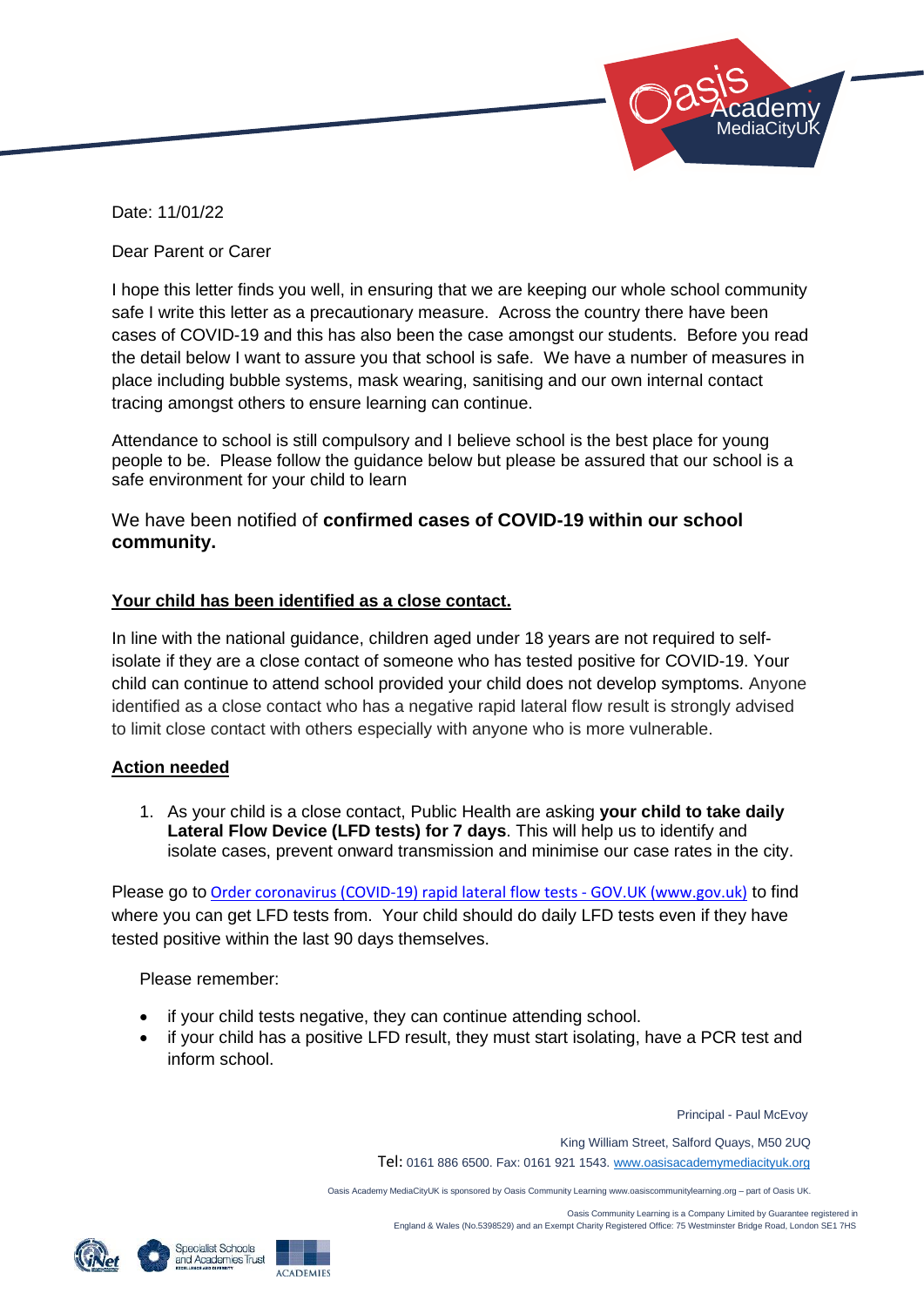

Date: 11/01/22

Dear Parent or Carer

I hope this letter finds you well, in ensuring that we are keeping our whole school community safe I write this letter as a precautionary measure. Across the country there have been cases of COVID-19 and this has also been the case amongst our students. Before you read the detail below I want to assure you that school is safe. We have a number of measures in place including bubble systems, mask wearing, sanitising and our own internal contact tracing amongst others to ensure learning can continue.

Attendance to school is still compulsory and I believe school is the best place for young people to be. Please follow the guidance below but please be assured that our school is a safe environment for your child to learn

### We have been notified of **confirmed cases of COVID-19 within our school community.**

### **Your child has been identified as a close contact.**

In line with the national guidance, children aged under 18 years are not required to selfisolate if they are a close contact of someone who has tested positive for COVID-19. Your child can continue to attend school provided your child does not develop symptoms. Anyone identified as a close contact who has a negative rapid lateral flow result is strongly advised to limit close contact with others especially with anyone who is more vulnerable.

### **Action needed**

1. As your child is a close contact, Public Health are asking **your child to take daily Lateral Flow Device (LFD tests) for 7 days**. This will help us to identify and isolate cases, prevent onward transmission and minimise our case rates in the city.

Please go to [Order coronavirus \(COVID-19\) rapid lateral flow tests -](https://www.gov.uk/order-coronavirus-rapid-lateral-flow-tests) GOV.UK (www.gov.uk) to find where you can get LFD tests from. Your child should do daily LFD tests even if they have tested positive within the last 90 days themselves.

Please remember:

- if your child tests negative, they can continue attending school.
- if your child has a positive LFD result, they must start isolating, have a PCR test and inform school.

Principal - Paul McEvoy

King William Street, Salford Quays, M50 2UQ

Tel: 0161 886 6500. Fax: 0161 921 1543[. www.oasisacademymediacityuk.org](http://www.oasisacademymediacityuk.org/)

Oasis Academy MediaCityUK is sponsored by Oasis Community Learning www.oasiscommunitylearning.org – part of Oasis UK.

 Oasis Community Learning is a Company Limited by Guarantee registered in England & Wales (No.5398529) and an Exempt Charity Registered Office: 75 Westminster Bridge Road, London SE1 7HS



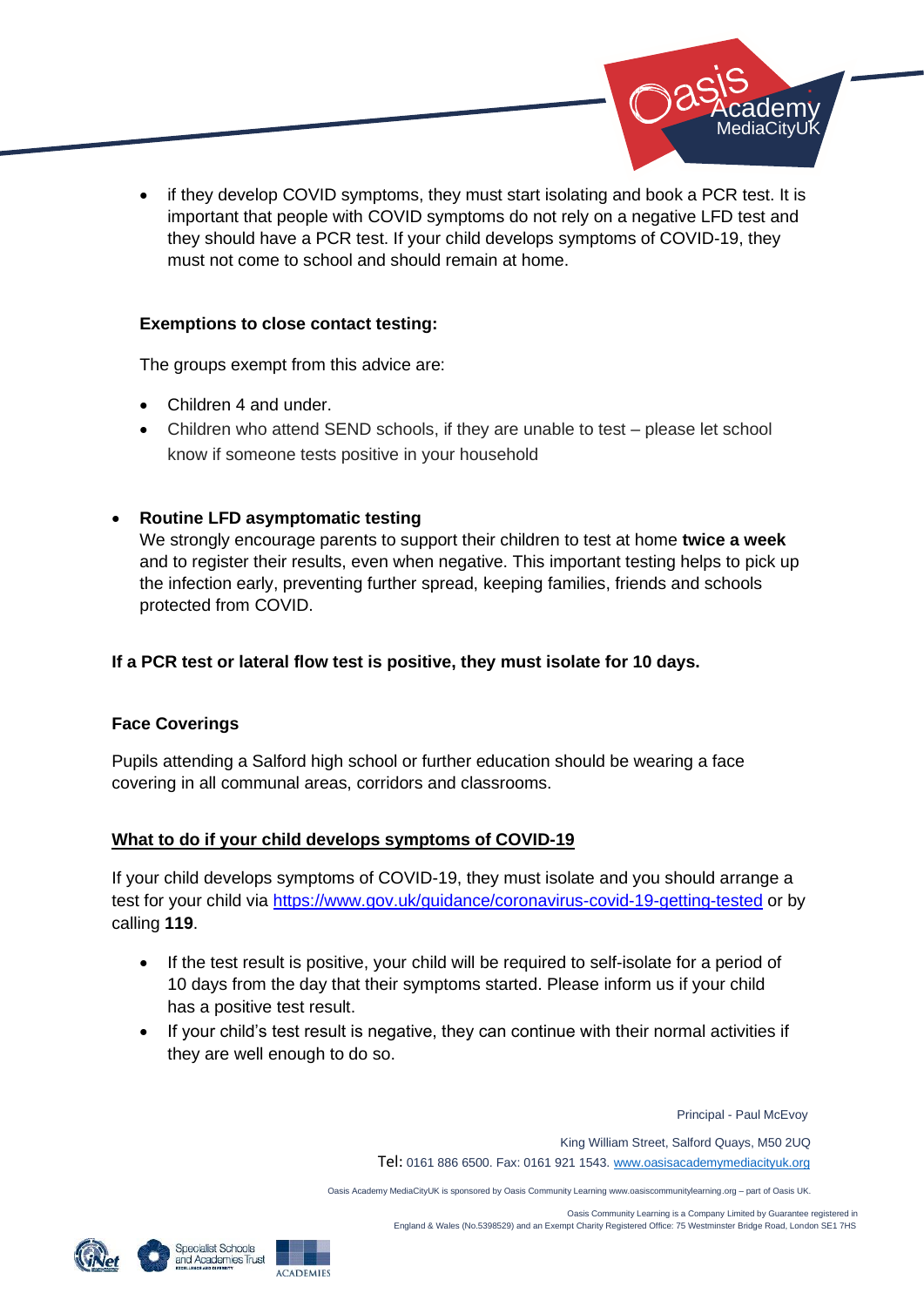

if they develop COVID symptoms, they must start isolating and book a PCR test. It is important that people with COVID symptoms do not rely on a negative LFD test and they should have a PCR test. If your child develops symptoms of COVID-19, they must not come to school and should remain at home.

### **Exemptions to close contact testing:**

The groups exempt from this advice are:

- Children 4 and under.
- Children who attend SEND schools, if they are unable to test please let school know if someone tests positive in your household

# • **Routine LFD asymptomatic testing**

We strongly encourage parents to support their children to test at home **twice a week** and to register their results, even when negative. This important testing helps to pick up the infection early, preventing further spread, keeping families, friends and schools protected from COVID.

# **If a PCR test or lateral flow test is positive, they must isolate for 10 days.**

# **Face Coverings**

Pupils attending a Salford high school or further education should be wearing a face covering in all communal areas, corridors and classrooms.

# **What to do if your child develops symptoms of COVID-19**

If your child develops symptoms of COVID-19, they must isolate and you should arrange a test for your child via<https://www.gov.uk/guidance/coronavirus-covid-19-getting-tested> or by calling **119**.

- If the test result is positive, your child will be required to self-isolate for a period of 10 days from the day that their symptoms started. Please inform us if your child has a positive test result.
- If your child's test result is negative, they can continue with their normal activities if they are well enough to do so.

Principal - Paul McEvoy

King William Street, Salford Quays, M50 2UQ

Tel: 0161 886 6500. Fax: 0161 921 1543[. www.oasisacademymediacityuk.org](http://www.oasisacademymediacityuk.org/)

Oasis Academy MediaCityUK is sponsored by Oasis Community Learning www.oasiscommunitylearning.org – part of Oasis UK.

 Oasis Community Learning is a Company Limited by Guarantee registered in England & Wales (No.5398529) and an Exempt Charity Registered Office: 75 Westminster Bridge Road, London SE1 7HS





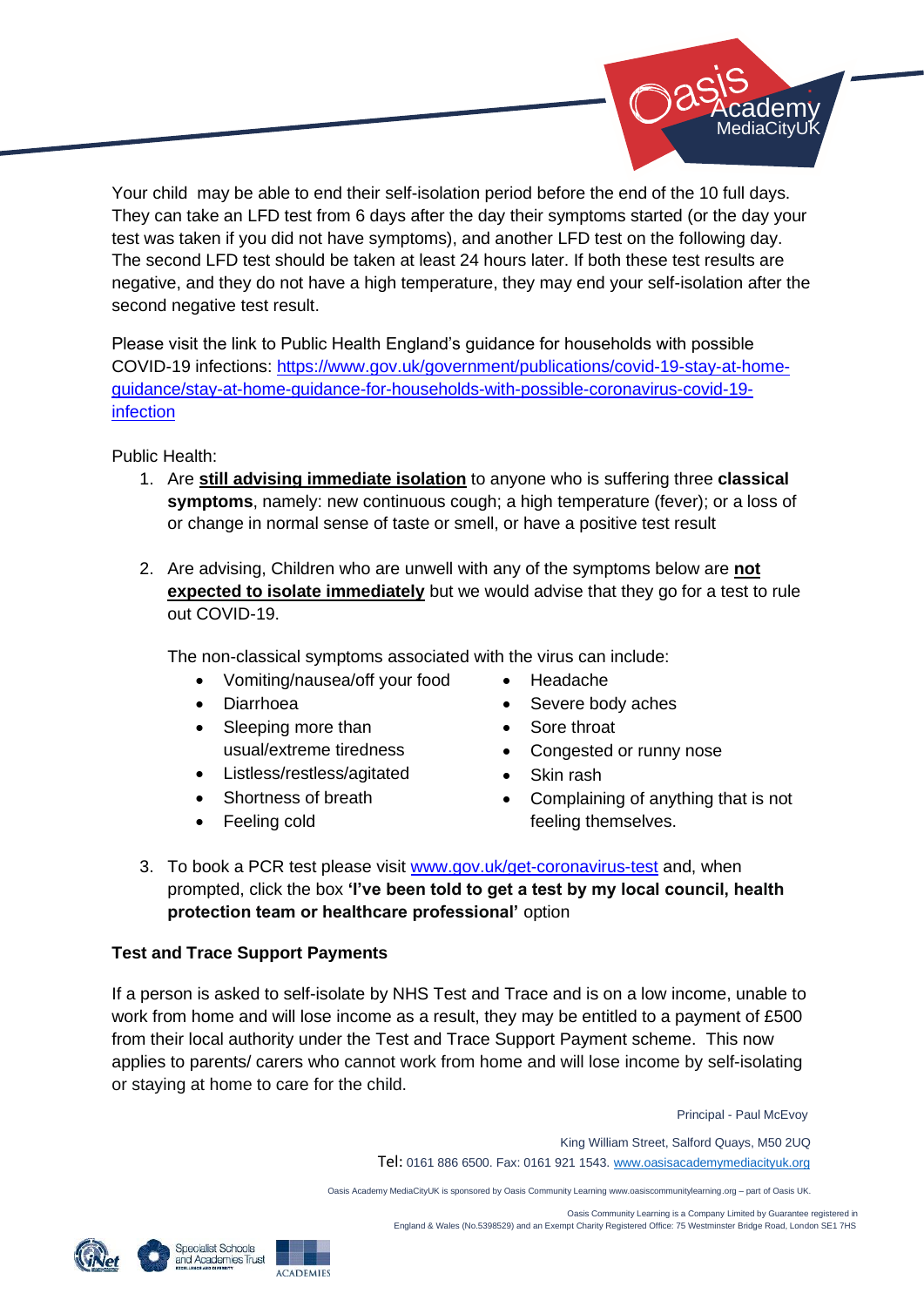

Your child may be able to end their self-isolation period before the end of the 10 full days. They can take an LFD test from 6 days after the day their symptoms started (or the day your test was taken if you did not have symptoms), and another LFD test on the following day. The second LFD test should be taken at least 24 hours later. If both these test results are negative, and they do not have a high temperature, they may end your self-isolation after the second negative test result.

Please visit the link to Public Health England's guidance for households with possible COVID-19 infections: [https://www.gov.uk/government/publications/covid-19-stay-at-home](https://www.gov.uk/government/publications/covid-19-stay-at-home-guidance/stay-at-home-guidance-for-households-with-possible-coronavirus-covid-19-infection)[guidance/stay-at-home-guidance-for-households-with-possible-coronavirus-covid-19](https://www.gov.uk/government/publications/covid-19-stay-at-home-guidance/stay-at-home-guidance-for-households-with-possible-coronavirus-covid-19-infection) [infection](https://www.gov.uk/government/publications/covid-19-stay-at-home-guidance/stay-at-home-guidance-for-households-with-possible-coronavirus-covid-19-infection)

Public Health:

- 1. Are **still advising immediate isolation** to anyone who is suffering three **classical symptoms**, namely: new continuous cough; a high temperature (fever); or a loss of or change in normal sense of taste or smell, or have a positive test result
- 2. Are advising, Children who are unwell with any of the symptoms below are **not expected to isolate immediately** but we would advise that they go for a test to rule out COVID-19.

The non-classical symptoms associated with the virus can include:

- Vomiting/nausea/off your food
- Diarrhoea
- Sleeping more than usual/extreme tiredness
- Listless/restless/agitated
- Shortness of breath
- Feeling cold
- Headache
- Severe body aches
- Sore throat
- Congested or runny nose
- Skin rash
- Complaining of anything that is not feeling themselves.
- 3. To book a PCR test please visit [www.gov.uk/get-coronavirus-test](http://www.gov.uk/get-coronavirus-test) and, when prompted, click the box **'I've been told to get a test by my local council, health protection team or healthcare professional'** option

# **Test and Trace Support Payments**

If a person is asked to self-isolate by NHS Test and Trace and is on a low income, unable to work from home and will lose income as a result, they may be entitled to a payment of £500 from their local authority under the Test and Trace Support Payment scheme. This now applies to parents/ carers who cannot work from home and will lose income by self-isolating or staying at home to care for the child.

Principal - Paul McEvoy

King William Street, Salford Quays, M50 2UQ

Tel: 0161 886 6500. Fax: 0161 921 1543[. www.oasisacademymediacityuk.org](http://www.oasisacademymediacityuk.org/)

Oasis Academy MediaCityUK is sponsored by Oasis Community Learning www.oasiscommunitylearning.org – part of Oasis UK.

 Oasis Community Learning is a Company Limited by Guarantee registered in England & Wales (No.5398529) and an Exempt Charity Registered Office: 75 Westminster Bridge Road, London SE1 7HS

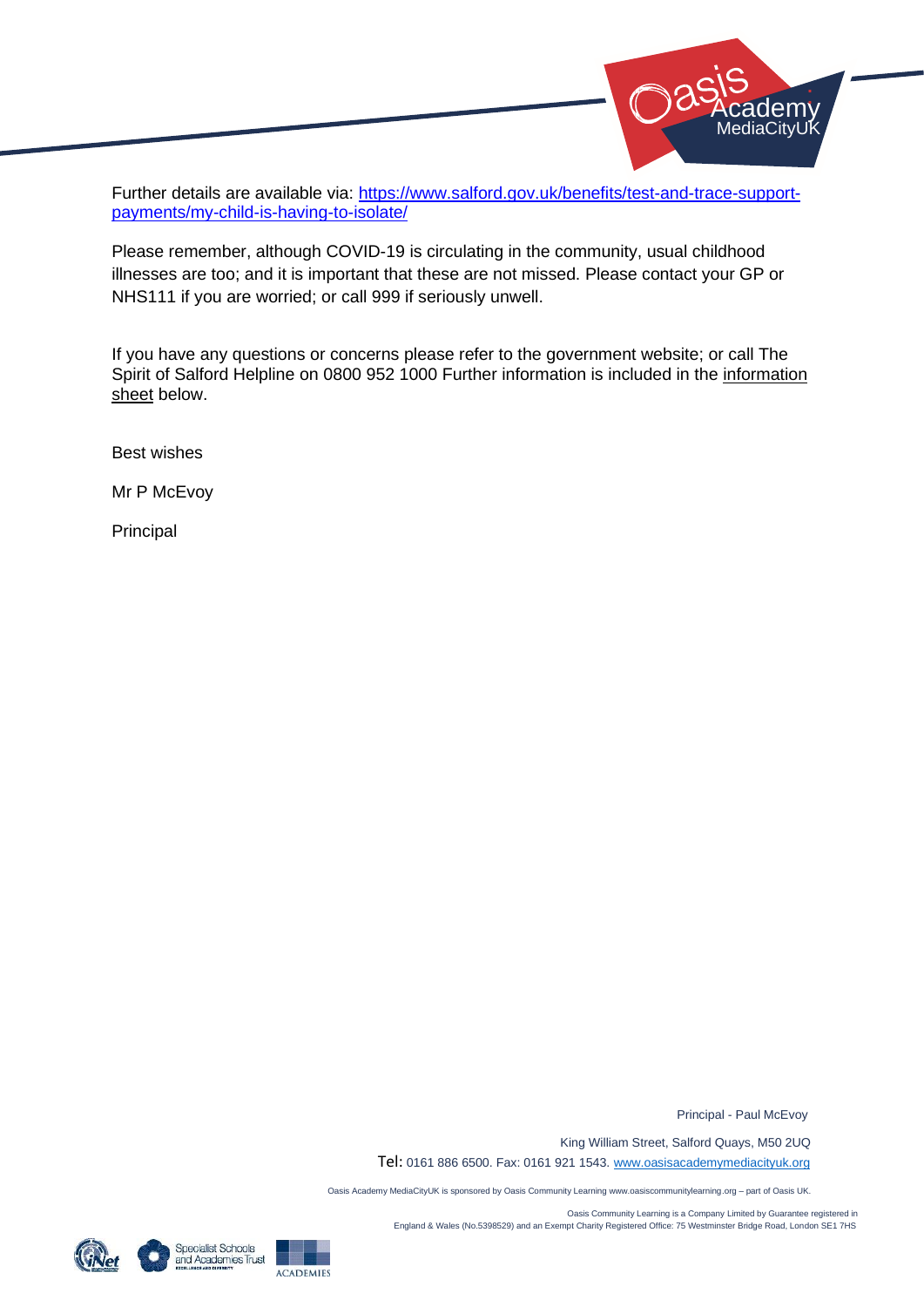

Further details are available via: [https://www.salford.gov.uk/benefits/test-and-trace-support](https://www.salford.gov.uk/benefits/test-and-trace-support-payments/my-child-is-having-to-isolate/)[payments/my-child-is-having-to-isolate/](https://www.salford.gov.uk/benefits/test-and-trace-support-payments/my-child-is-having-to-isolate/)

Please remember, although COVID-19 is circulating in the community, usual childhood illnesses are too; and it is important that these are not missed. Please contact your GP or NHS111 if you are worried; or call 999 if seriously unwell.

If you have any questions or concerns please refer to the government website; or call The Spirit of Salford Helpline on 0800 952 1000 Further information is included in the information sheet below.

Best wishes

Mr P McEvoy

Principal

Principal - Paul McEvoy

King William Street, Salford Quays, M50 2UQ

Tel: 0161 886 6500. Fax: 0161 921 1543[. www.oasisacademymediacityuk.org](http://www.oasisacademymediacityuk.org/)

Oasis Academy MediaCityUK is sponsored by Oasis Community Learning www.oasiscommunitylearning.org – part of Oasis UK.

 Oasis Community Learning is a Company Limited by Guarantee registered in England & Wales (No.5398529) and an Exempt Charity Registered Office: 75 Westminster Bridge Road, London SE1 7HS





**ACADEMIES**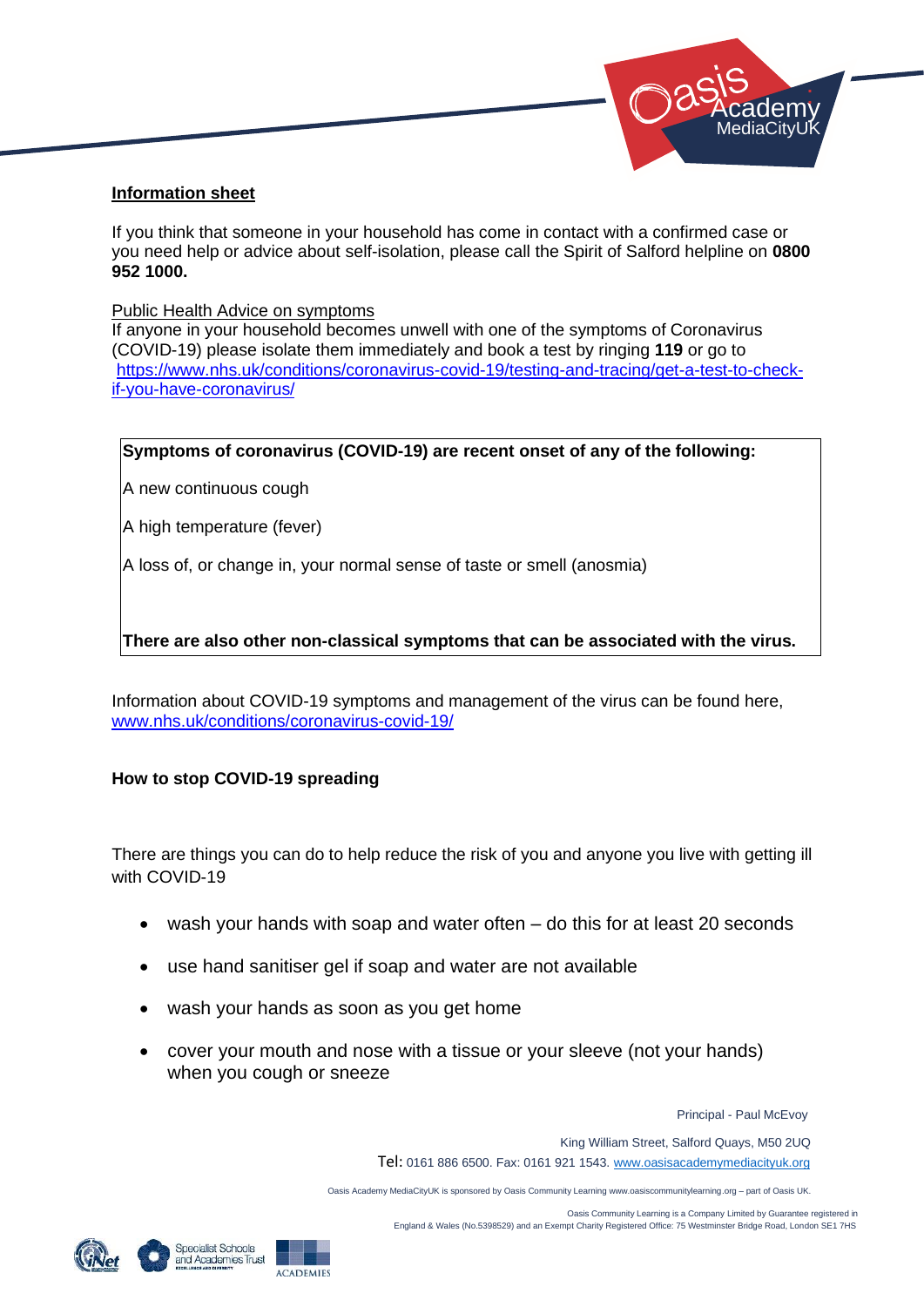

### **Information sheet**

If you think that someone in your household has come in contact with a confirmed case or you need help or advice about self-isolation, please call the Spirit of Salford helpline on **0800 952 1000.** 

#### Public Health Advice on symptoms

If anyone in your household becomes unwell with one of the symptoms of Coronavirus (COVID-19) please isolate them immediately and book a test by ringing **119** or go to [https://www.nhs.uk/conditions/coronavirus-covid-19/testing-and-tracing/get-a-test-to-check](https://www.nhs.uk/conditions/coronavirus-covid-19/testing-and-tracing/get-a-test-to-check-if-you-have-coronavirus/)[if-you-have-coronavirus/](https://www.nhs.uk/conditions/coronavirus-covid-19/testing-and-tracing/get-a-test-to-check-if-you-have-coronavirus/)

### **Symptoms of coronavirus (COVID-19) are recent onset of any of the following:**

A new continuous cough

A high temperature (fever)

A loss of, or change in, your normal sense of taste or smell (anosmia)

### **There are also other non-classical symptoms that can be associated with the virus.**

Information about COVID-19 symptoms and management of the virus can be found here, [www.nhs.uk/conditions/coronavirus-covid-19/](http://www.nhs.uk/conditions/coronavirus-covid-19/)

### **How to stop COVID-19 spreading**

There are things you can do to help reduce the risk of you and anyone you live with getting ill with COVID-19

- wash your hands with soap and water often do this for at least 20 seconds
- use hand sanitiser gel if soap and water are not available
- wash your hands as soon as you get home
- cover your mouth and nose with a tissue or your sleeve (not your hands) when you cough or sneeze

Principal - Paul McEvoy

King William Street, Salford Quays, M50 2UQ

Tel: 0161 886 6500. Fax: 0161 921 1543[. www.oasisacademymediacityuk.org](http://www.oasisacademymediacityuk.org/)

Oasis Academy MediaCityUK is sponsored by Oasis Community Learning www.oasiscommunitylearning.org – part of Oasis UK.

Oasis Community Learning is a Company Limited by Guarantee registered in





England & Wales (No.5398529) and an Exempt Charity Registered Office: 75 Westminster Bridge Road, London SE1 7HS